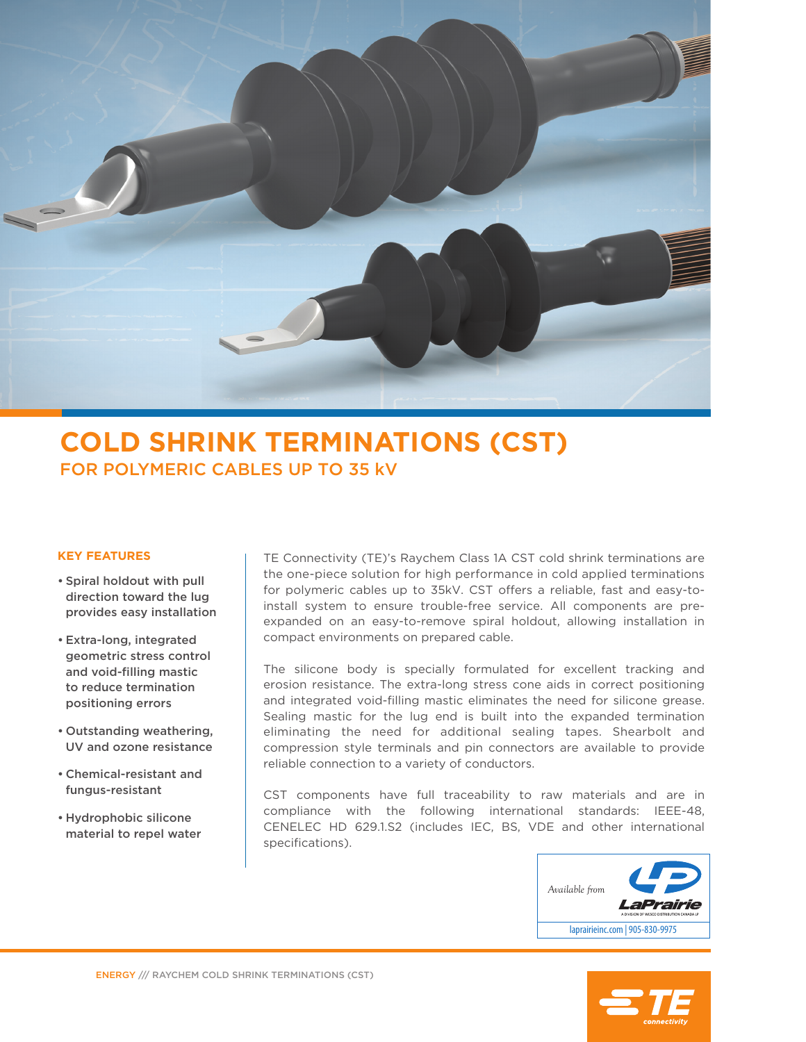

## **COLD SHRINK TERMINATIONS (CST)** FOR POLYMERIC CABLES UP TO 35 kV

### **KEY FEATURES**

- Spiral holdout with pull direction toward the lug provides easy installation
- Extra-long, integrated geometric stress control and void-filling mastic to reduce termination positioning errors
- Outstanding weathering, UV and ozone resistance
- Chemical-resistant and fungus-resistant
- Hydrophobic silicone material to repel water

TE Connectivity (TE)'s Raychem Class 1A CST cold shrink terminations are the one-piece solution for high performance in cold applied terminations for polymeric cables up to 35kV. CST offers a reliable, fast and easy-toinstall system to ensure trouble-free service. All components are preexpanded on an easy-to-remove spiral holdout, allowing installation in compact environments on prepared cable.

The silicone body is specially formulated for excellent tracking and erosion resistance. The extra-long stress cone aids in correct positioning and integrated void-filling mastic eliminates the need for silicone grease. Sealing mastic for the lug end is built into the expanded termination eliminating the need for additional sealing tapes. Shearbolt and compression style terminals and pin connectors are available to provide reliable connection to a variety of conductors.

CST components have full traceability to raw materials and are in compliance with the following international standards: IEEE-48, CENELEC HD 629.1.S2 (includes IEC, BS, VDE and other international specifications).